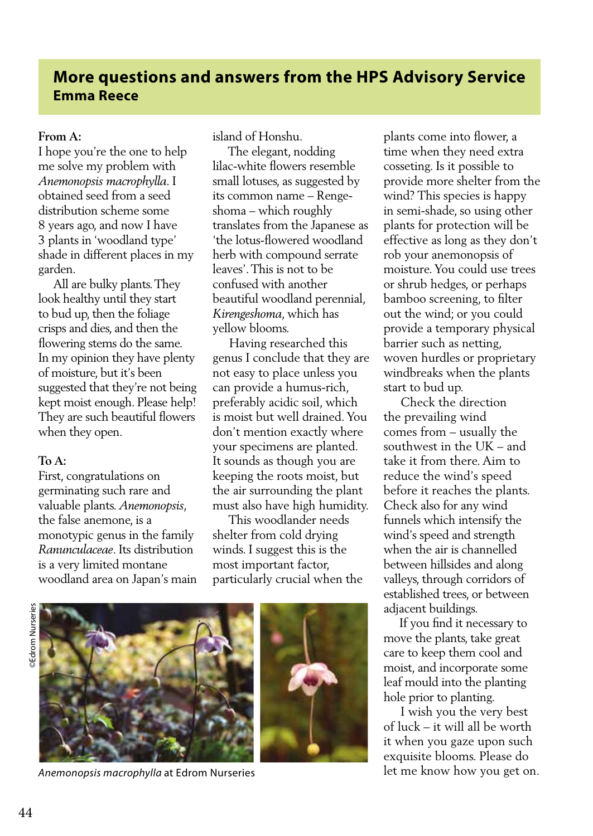# **More questions and answers from the HPS Advisory Service Emma Reece**

## **From A:**

I hope you're the one to help me solve my problem with *Anemonopsis macrophylla*. I obtained seed from a seed distribution scheme some 8 years ago, and now I have 3 plants in 'woodland type' shade in different places in my garden.

 All are bulky plants. They look healthy until they start to bud up, then the foliage crisps and dies, and then the flowering stems do the same. In my opinion they have plenty of moisture, but it's been suggested that they're not being kept moist enough. Please help! They are such beautiful flowers when they open.

#### **To A:**

First, congratulations on germinating such rare and valuable plants. *Anemonopsis*, the false anemone, is a monotypic genus in the family *Ranunculaceae*. Its distribution is a very limited montane woodland area on Japan's main island of Honshu.

 The elegant, nodding lilac-white flowers resemble small lotuses, as suggested by its common name – Rengeshoma – which roughly translates from the Japanese as 'the lotus-flowered woodland herb with compound serrate leaves'. This is not to be confused with another beautiful woodland perennial, *Kirengeshoma*, which has yellow blooms.

 Having researched this genus I conclude that they are not easy to place unless you can provide a humus-rich, preferably acidic soil, which is moist but well drained. You don't mention exactly where your specimens are planted. It sounds as though you are keeping the roots moist, but the air surrounding the plant must also have high humidity.

 This woodlander needs shelter from cold drying winds. I suggest this is the most important factor, particularly crucial when the

44 ©Edrom Nurseries **©Edrom Nurseries** 



*Anemonopsis macrophylla* at Edrom Nurseries

plants come into flower, a time when they need extra cosseting. Is it possible to provide more shelter from the wind? This species is happy in semi-shade, so using other plants for protection will be effective as long as they don't rob your anemonopsis of moisture. You could use trees or shrub hedges, or perhaps bamboo screening, to filter out the wind; or you could provide a temporary physical barrier such as netting, woven hurdles or proprietary windbreaks when the plants start to bud up.

 Check the direction the prevailing wind comes from – usually the southwest in the UK – and take it from there. Aim to reduce the wind's speed before it reaches the plants. Check also for any wind funnels which intensify the wind's speed and strength when the air is channelled between hillsides and along valleys, through corridors of established trees, or between adjacent buildings.

 If you find it necessary to move the plants, take great care to keep them cool and moist, and incorporate some leaf mould into the planting hole prior to planting.

 I wish you the very best of luck – it will all be worth it when you gaze upon such exquisite blooms. Please do let me know how you get on.